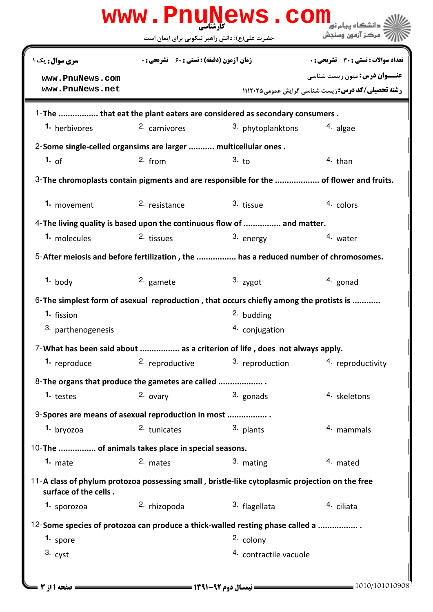|                                                                | حضرت علی(ع): دانش راهبر نیکویی برای ایمان است      |                                                                                                       | مركز آزمون وسنجش                                                                                 |
|----------------------------------------------------------------|----------------------------------------------------|-------------------------------------------------------------------------------------------------------|--------------------------------------------------------------------------------------------------|
| <b>سری سوال :</b> یک ۱                                         | <b>زمان آزمون (دقیقه) : تستی : 60 ٪ تشریحی : 0</b> |                                                                                                       | <b>تعداد سوالات : تستی : 30 ٪ تشریحی : 0</b>                                                     |
| www.PnuNews.com<br>www.PnuNews.net                             |                                                    |                                                                                                       | <b>عنـــوان درس:</b> متون زیست شناسی<br><b>رشته تحصیلی/کد درس: زیست شناسی گرایش عمومی 111208</b> |
|                                                                |                                                    | 1-The  that eat the plant eaters are considered as secondary consumers.                               |                                                                                                  |
| 1. herbivores                                                  | 2. carnivores                                      | <sup>3.</sup> phytoplanktons                                                                          | <sup>4</sup> algae                                                                               |
| 2-Some single-celled organsims are larger  multicellular ones. |                                                    |                                                                                                       |                                                                                                  |
| 1. of                                                          | $2.$ from                                          | 3. t <sub>0</sub>                                                                                     | $4.$ than                                                                                        |
|                                                                |                                                    | 3- The chromoplasts contain pigments and are responsible for the  of flower and fruits.               |                                                                                                  |
| 1. movement                                                    | 2. resistance                                      | 3. tissue                                                                                             | 4. colors                                                                                        |
|                                                                |                                                    | 4- The living quality is based upon the continuous flow of  and matter.                               |                                                                                                  |
| 1. molecules                                                   | 2. tissues                                         | 3. energy                                                                                             | 4. water                                                                                         |
|                                                                |                                                    | 5-After meiosis and before fertilization, the  has a reduced number of chromosomes.                   |                                                                                                  |
| $1.$ body                                                      | 2. gamete                                          | $3.$ zygot                                                                                            | 4. gonad                                                                                         |
|                                                                |                                                    | 6-The simplest form of asexual reproduction, that occurs chiefly among the protists is                |                                                                                                  |
| 1. fission                                                     |                                                    | <sup>2.</sup> budding                                                                                 |                                                                                                  |
| 3. parthenogenesis                                             |                                                    | 4. conjugation                                                                                        |                                                                                                  |
|                                                                |                                                    | 7-What has been said about  as a criterion of life, does not always apply.                            |                                                                                                  |
| 1. reproduce                                                   | 2. reproductive                                    | 3. reproduction                                                                                       | 4. reproductivity                                                                                |
| 8-The organs that produce the gametes are called               |                                                    |                                                                                                       |                                                                                                  |
| 1. testes                                                      | 2. ovary                                           | 3. gonads                                                                                             | 4. skeletons                                                                                     |
| 9-Spores are means of asexual reproduction in most             |                                                    |                                                                                                       |                                                                                                  |
| 1. bryozoa                                                     | 2. tunicates                                       | 3. plants                                                                                             | <sup>4.</sup> mammals                                                                            |
| 10-The  of animals takes place in special seasons.             |                                                    |                                                                                                       |                                                                                                  |
| 1. $mate$                                                      | 2. mates                                           | 3. mating                                                                                             | 4. mated                                                                                         |
| surface of the cells.                                          |                                                    | 11-A class of phylum protozoa possessing small, bristle-like cytoplasmic projection on the free       |                                                                                                  |
| 1. sporozoa                                                    | 2. rhizopoda                                       | 3. flagellata                                                                                         | 4. ciliata                                                                                       |
|                                                                |                                                    |                                                                                                       |                                                                                                  |
| 1. spore                                                       |                                                    | 12-Some species of protozoa can produce a thick-walled resting phase called a<br><sup>2.</sup> colony |                                                                                                  |
| $3.$ cyst                                                      |                                                    | 4. contractile vacuole                                                                                |                                                                                                  |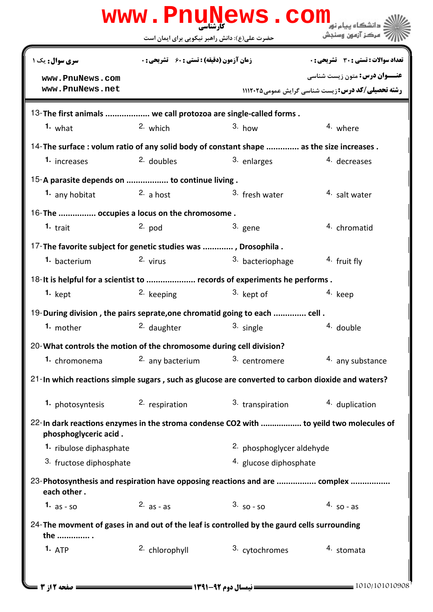| www.PnuNews.com<br>دانشگاه سام نو <mark>ر</mark>                                                                 |                                                                          |                           |                                                          |  |  |  |
|------------------------------------------------------------------------------------------------------------------|--------------------------------------------------------------------------|---------------------------|----------------------------------------------------------|--|--|--|
|                                                                                                                  | حضرت علی(ع): دانش راهبر نیکویی برای ایمان است                            |                           | " مرڪز آزمون وسنڊش                                       |  |  |  |
| <b>سری سوال :</b> یک ۱                                                                                           | <b>زمان آزمون (دقیقه) : تستی : 60 ٪ تشریحی : 0</b>                       |                           | <b>تعداد سوالات : تستي : 30 ٪ تشريحي : 0</b>             |  |  |  |
| www.PnuNews.com                                                                                                  |                                                                          |                           | <b>عنـــوان درس:</b> متون زیست شناسی                     |  |  |  |
| www.PnuNews.net                                                                                                  |                                                                          |                           | <b>رشته تحصیلی/کد درس:</b> زیست شناسی گرایش عمومی1۱۱۲۰۲۵ |  |  |  |
| 13- The first animals  we call protozoa are single-called forms.                                                 |                                                                          |                           |                                                          |  |  |  |
| $1.$ what                                                                                                        | 2. which                                                                 | $3.$ how                  | 4. where                                                 |  |  |  |
| 14-The surface : volum ratio of any solid body of constant shape  as the size increases.                         |                                                                          |                           |                                                          |  |  |  |
| 1. increases                                                                                                     | 2. doubles                                                               | 3. enlarges               | 4. decreases                                             |  |  |  |
| 15-A parasite depends on  to continue living.                                                                    |                                                                          |                           |                                                          |  |  |  |
| 1. any hobitat                                                                                                   | <sup>2.</sup> a host                                                     | 3. fresh water            | <sup>4</sup> salt water                                  |  |  |  |
| 16-The  occupies a locus on the chromosome.                                                                      |                                                                          |                           |                                                          |  |  |  |
| 1. trait                                                                                                         | $2.$ pod                                                                 | 3. gene                   | 4. chromatid                                             |  |  |  |
| 17-The favorite subject for genetic studies was , Drosophila.                                                    |                                                                          |                           |                                                          |  |  |  |
| 1. bacterium                                                                                                     | 2. virus                                                                 | 3. bacteriophage          | 4. fruit fly                                             |  |  |  |
|                                                                                                                  | 18-It is helpful for a scientist to  records of experiments he performs. |                           |                                                          |  |  |  |
| $1.$ kept                                                                                                        | <sup>2.</sup> keeping                                                    | 3. kept of                | 4. keep                                                  |  |  |  |
| 19-During division, the pairs seprate, one chromatid going to each  cell.                                        |                                                                          |                           |                                                          |  |  |  |
| 1. mother                                                                                                        | 2. daughter                                                              | 3. single                 | 4. double                                                |  |  |  |
| 20-What controls the motion of the chromosome during cell division?                                              |                                                                          |                           |                                                          |  |  |  |
| 1. chromonema                                                                                                    | 2. any bacterium                                                         | 3. centromere             | 4. any substance                                         |  |  |  |
| 21-In which reactions simple sugars, such as glucose are converted to carbon dioxide and waters?                 |                                                                          |                           |                                                          |  |  |  |
|                                                                                                                  | 1. photosyntesis 2. respiration                                          | 3. transpiration          | 4. duplication                                           |  |  |  |
| 22-In dark reactions enzymes in the stroma condense CO2 with  to yeild two molecules of<br>phosphoglyceric acid. |                                                                          |                           |                                                          |  |  |  |
| 1. ribulose diphasphate                                                                                          |                                                                          | 2. phosphoglycer aldehyde |                                                          |  |  |  |
| 3. fructose diphosphate                                                                                          |                                                                          | 4. glucose diphosphate    |                                                          |  |  |  |
| 23-Photosynthesis and respiration have opposing reactions and are  complex<br>each other.                        |                                                                          |                           |                                                          |  |  |  |
| 1. $as - so$                                                                                                     | 2. $as - as$                                                             | $3.50 - 50$               | $4.$ so - as                                             |  |  |  |
| 24-The movment of gases in and out of the leaf is controlled by the gaurd cells surrounding<br>the               |                                                                          |                           |                                                          |  |  |  |
| 1. ATP                                                                                                           | <sup>2.</sup> chlorophyll                                                | 3. cytochromes            | 4. stomata                                               |  |  |  |